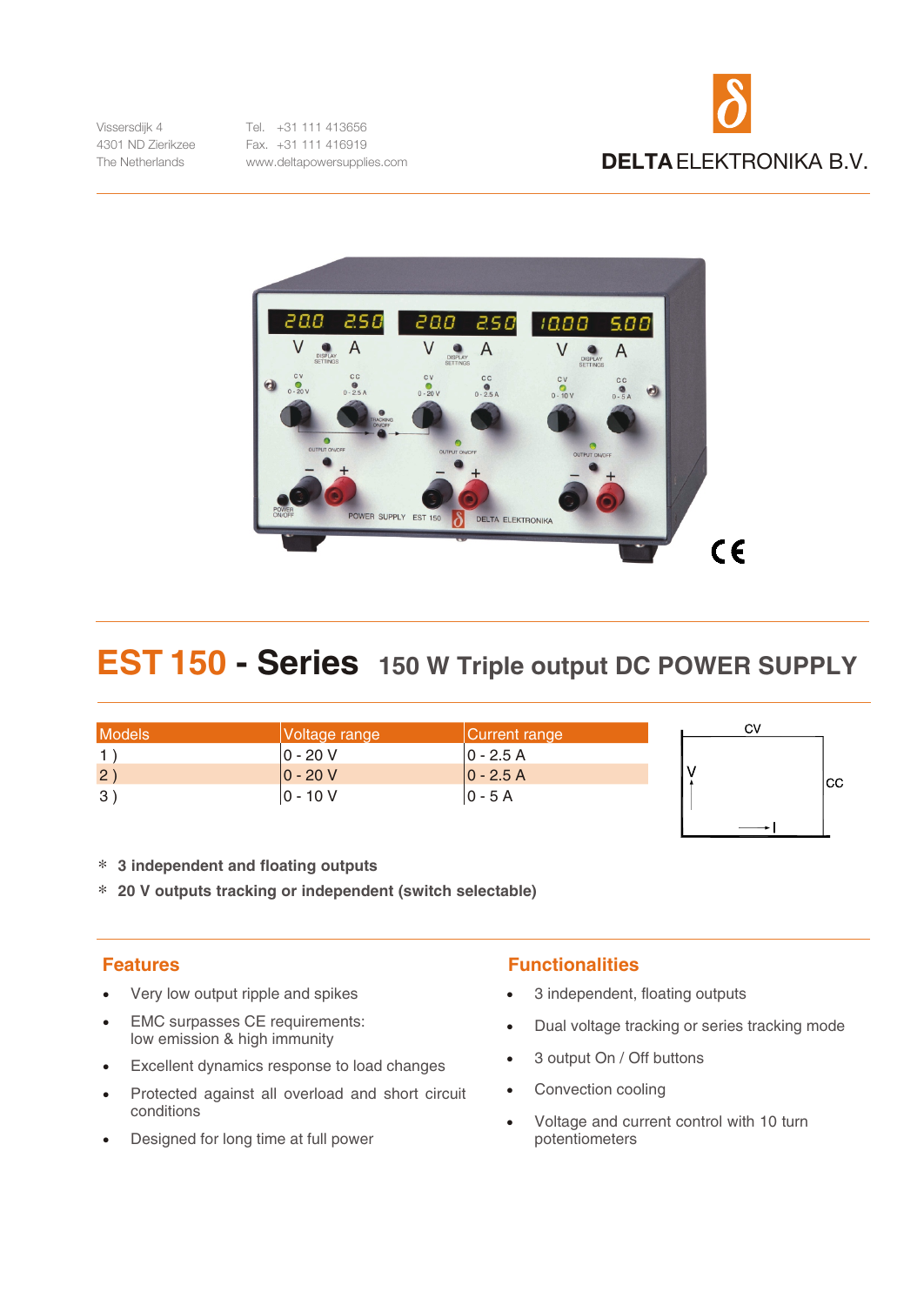

Vissersdiik 4 4301 ND Zierikzee The Netherlands

Tel. +31 111 413656 Fax. +31 111 416919 www.deltapowersupplies.com



## EST 150 - Series 150 W Triple output DC POWER SUPPLY

| <b>Models</b> | Voltage range | Current range | C٧  |
|---------------|---------------|---------------|-----|
|               | 0 - 20 V      | 10 - 2.5 A    |     |
| 2)            | $ 0 - 20 V$   | $ 0 - 2.5 A $ | ICC |
| 3)            | $ 0 - 10 V$   | 10 - 5 A      |     |

\* 3 independent and floating outputs

\* 20 V outputs tracking or independent (switch selectable)

## **Features**

- Very low output ripple and spikes
- EMC surpasses CE requirements: low emission & high immunity
- Excellent dynamics response to load changes
- Protected against all overload and short circuit conditions
- Designed for long time at full power

## **Functionalities**

- 3 independent, floating outputs  $\bullet$
- Dual voltage tracking or series tracking mode

 $\rightarrow$   $\vdash$ 

- 3 output On / Off buttons  $\bullet$
- Convection cooling  $\bullet$
- Voltage and current control with 10 turn potentiometers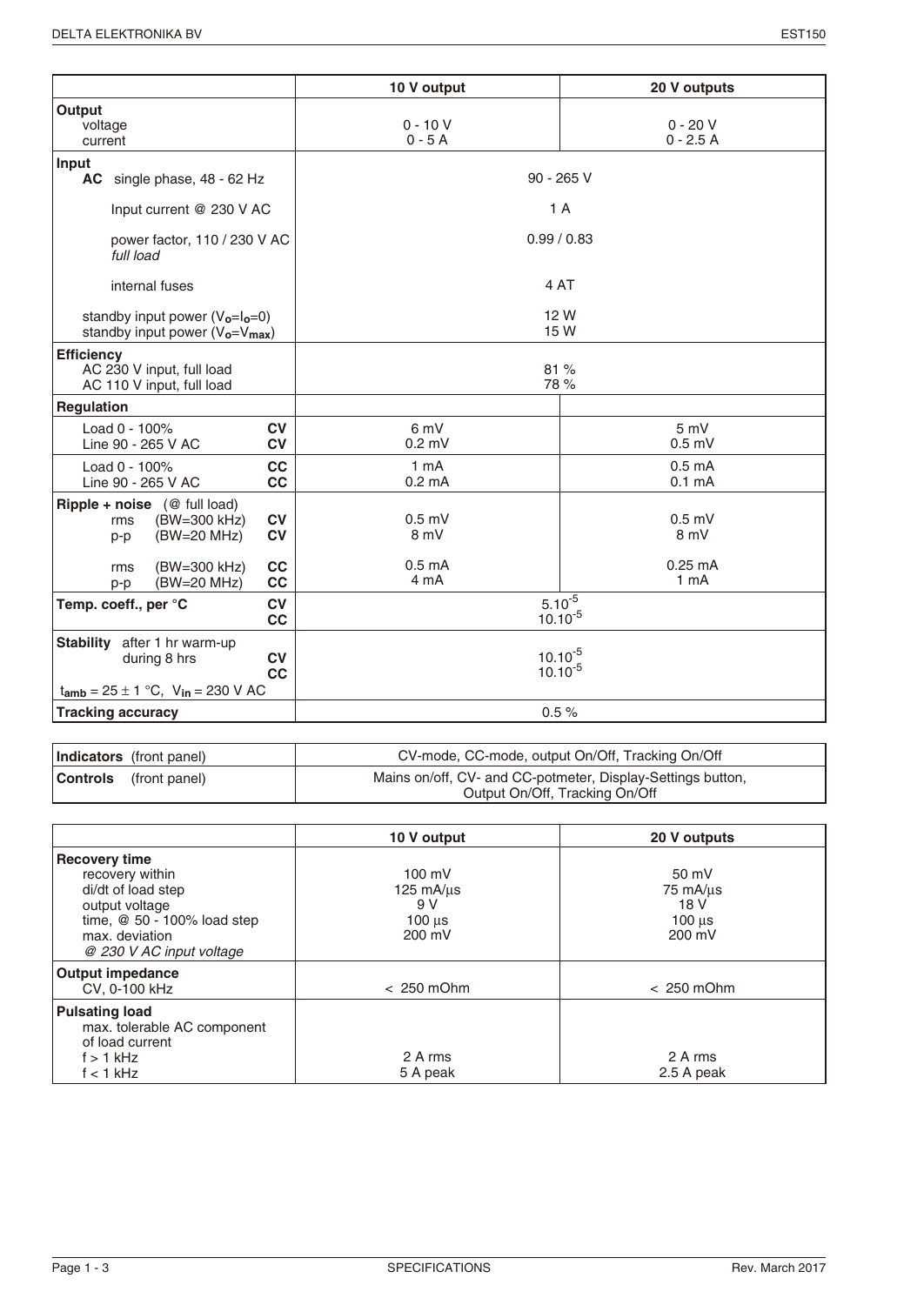|                                                                                                                        | 10 V output                        | 20 V outputs                             |
|------------------------------------------------------------------------------------------------------------------------|------------------------------------|------------------------------------------|
| Output<br>voltage<br>current                                                                                           | $0 - 10V$<br>$0 - 5A$              | $0 - 20 V$<br>$0 - 2.5A$                 |
| Input<br>AC single phase, 48 - 62 Hz                                                                                   | $90 - 265$ V                       |                                          |
| Input current @ 230 V AC                                                                                               | 1A                                 |                                          |
| power factor, 110 / 230 V AC<br>full load                                                                              | 0.99/0.83                          |                                          |
| internal fuses                                                                                                         | 4 AT                               |                                          |
| standby input power $(V_0=I_0=0)$<br>standby input power $(V_0=V_{max})$                                               |                                    | 12 W<br>15 W                             |
| <b>Efficiency</b><br>AC 230 V input, full load<br>AC 110 V input, full load                                            |                                    | 81%<br>78 %                              |
| <b>Regulation</b>                                                                                                      |                                    |                                          |
| Load 0 - 100%<br><b>CV</b><br><b>CV</b><br>Line 90 - 265 V AC                                                          | 6 mV<br>$0.2$ mV                   | 5 mV<br>$0.5$ mV                         |
| cc<br>Load 0 - 100%<br>cc<br>Line 90 - 265 V AC                                                                        | $1 \text{ mA}$<br>$0.2 \text{ mA}$ | 0.5 <sub>m</sub> A<br>0.1 <sub>m</sub> A |
| <b>Ripple + noise</b> $(\mathcal{Q}$ full load)<br><b>CV</b><br>(BW=300 kHz)<br>rms<br><b>CV</b><br>(BW=20 MHz)<br>p-p | $0.5$ mV<br>8 mV                   | $0.5$ mV<br>8 mV                         |
| (BW=300 kHz)<br>cc<br>rms<br>cc<br>(BW=20 MHz)<br>p-p                                                                  | 0.5 <sub>m</sub> A<br>4 mA         | $0.25$ mA<br>1 <sub>m</sub> A            |
| Temp. coeff., per °C<br><b>CV</b><br>cc                                                                                | $5.10^{-5}$<br>$10.10^{-5}$        |                                          |
| Stability after 1 hr warm-up<br>during 8 hrs<br><b>CV</b><br>cc<br>$t_{amb} = 25 \pm 1$ °C, $V_{in} = 230$ V AC        | $10.10^{-5}$<br>$10.10^{-5}$       |                                          |
| <b>Tracking accuracy</b>                                                                                               |                                    | 0.5%                                     |

| <b>Indicators</b> (front panel) | CV-mode, CC-mode, output On/Off, Tracking On/Off                                              |
|---------------------------------|-----------------------------------------------------------------------------------------------|
| <b>Controls</b> (front panel)   | Mains on/off, CV- and CC-potmeter, Display-Settings button,<br>Output On/Off, Tracking On/Off |

|                                                                                                                                  | 10 V output                                                             | 20 V outputs                                         |
|----------------------------------------------------------------------------------------------------------------------------------|-------------------------------------------------------------------------|------------------------------------------------------|
| <b>Recovery time</b><br>recovery within<br>di/dt of load step<br>output voltage<br>time, @ 50 - 100% load step<br>max. deviation | $100 \text{ mV}$<br>$125 \text{ mA/µs}$<br>9 V<br>$100 \mu s$<br>200 mV | 50 mV<br>75 mA/us<br>18 V<br>$100$ $\mu$ s<br>200 mV |
| @ 230 V AC input voltage<br><b>Output impedance</b><br>CV, 0-100 kHz                                                             | $< 250$ mOhm                                                            | $< 250$ mOhm                                         |
| <b>Pulsating load</b><br>max. tolerable AC component<br>of load current<br>$f > 1$ kHz<br>$f < 1$ kHz                            | 2 A rms<br>5 A peak                                                     | 2 A rms<br>2.5 A peak                                |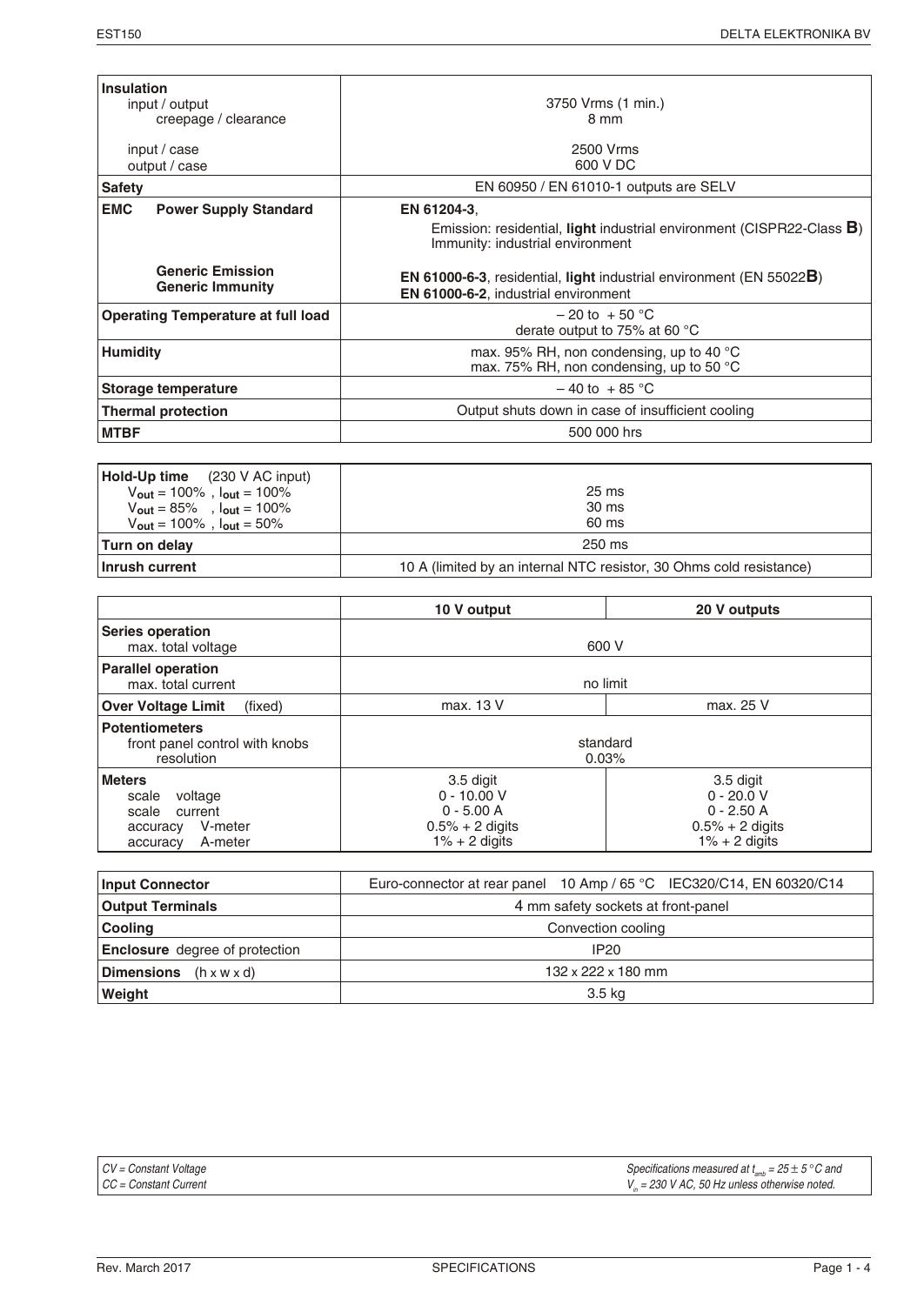| Insulation<br>input / output<br>creepage / clearance | 3750 Vrms (1 min.)<br>8 mm                                                                                               |
|------------------------------------------------------|--------------------------------------------------------------------------------------------------------------------------|
| input / case<br>output / case                        | 2500 Vrms<br>600 V DC                                                                                                    |
| <b>Safety</b>                                        | EN 60950 / EN 61010-1 outputs are SELV                                                                                   |
| <b>EMC</b><br><b>Power Supply Standard</b>           | EN 61204-3.<br>Emission: residential, light industrial environment (CISPR22-Class B)<br>Immunity: industrial environment |
| <b>Generic Emission</b><br><b>Generic Immunity</b>   | <b>EN 61000-6-3, residential, light industrial environment (EN 55022B)</b><br>EN 61000-6-2, industrial environment       |
| <b>Operating Temperature at full load</b>            | $-20$ to $+50$ °C<br>derate output to 75% at 60 °C                                                                       |
| Humidity                                             | max. 95% RH, non condensing, up to 40 °C<br>max. 75% RH, non condensing, up to 50 $^{\circ}$ C                           |
| Storage temperature                                  | $-40$ to $+85$ °C                                                                                                        |
| <b>Thermal protection</b>                            | Output shuts down in case of insufficient cooling                                                                        |
| <b>MTBF</b>                                          | 500 000 hrs                                                                                                              |

| $ $ <b>Hold-Up time</b> $(230 \text{ V AC input})$  |                                                                     |
|-----------------------------------------------------|---------------------------------------------------------------------|
| $V_{\text{out}} = 100\%$ , $I_{\text{out}} = 100\%$ | $25 \text{ ms}$                                                     |
| $V_{\text{out}} = 85\%$ , $I_{\text{out}} = 100\%$  | 30 ms                                                               |
| $V_{\text{out}} = 100\%$ , $I_{\text{out}} = 50\%$  | 60 ms                                                               |
| Turn on delay                                       | 250 ms                                                              |
| Inrush current                                      | 10 A (limited by an internal NTC resistor, 30 Ohms cold resistance) |

|                                                                                                     | 10 V output                                                                         | 20 V outputs                                                                       |
|-----------------------------------------------------------------------------------------------------|-------------------------------------------------------------------------------------|------------------------------------------------------------------------------------|
| <b>Series operation</b><br>max. total voltage                                                       | 600 V                                                                               |                                                                                    |
| <b>Parallel operation</b><br>max. total current                                                     | no limit                                                                            |                                                                                    |
| <b>Over Voltage Limit</b><br>(fixed)                                                                | max. 13 V                                                                           | max. 25 V                                                                          |
| <b>Potentiometers</b><br>front panel control with knobs<br>resolution                               | standard<br>0.03%                                                                   |                                                                                    |
| <b>Meters</b><br>voltage<br>scale<br>scale<br>current<br>V-meter<br>accuracy<br>A-meter<br>accuracy | 3.5 digit<br>$0 - 10.00 V$<br>$0 - 5.00 A$<br>$0.5% + 2$ digits<br>$1\% + 2$ digits | 3.5 digit<br>$0 - 20.0 V$<br>$0 - 2.50 A$<br>$0.5% + 2$ digits<br>$1\% + 2$ digits |

| <b>Input Connector</b>                        | Euro-connector at rear panel 10 Amp / 65 °C IEC320/C14, EN 60320/C14 |  |
|-----------------------------------------------|----------------------------------------------------------------------|--|
| <b>Output Terminals</b>                       | 4 mm safety sockets at front-panel                                   |  |
| <b>Cooling</b>                                | Convection cooling                                                   |  |
| <b>Enclosure</b> degree of protection         | IP20                                                                 |  |
| $ $ <b>Dimensions</b> $(h \times W \times d)$ | 132 x 222 x 180 mm                                                   |  |
| Weight                                        | 3.5 kg                                                               |  |